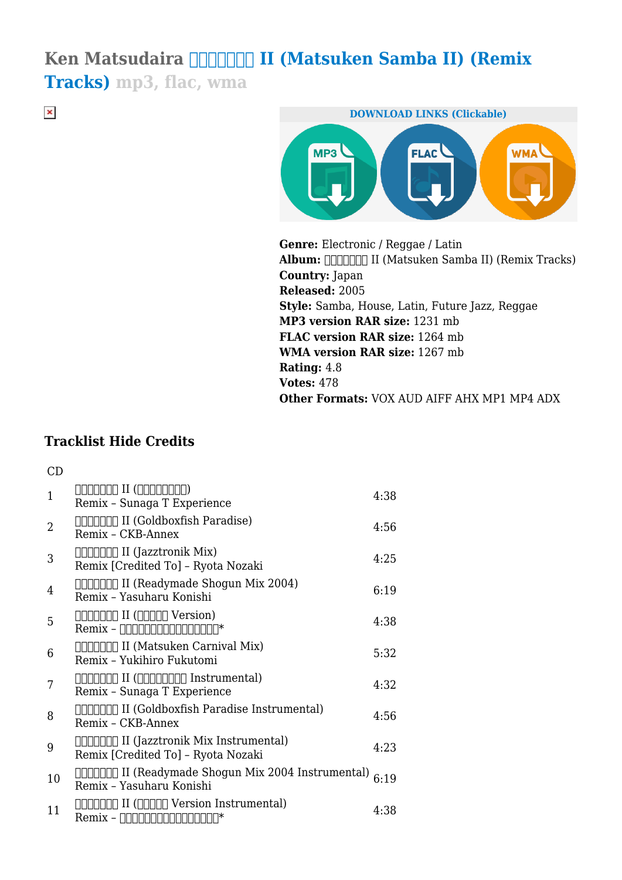## Ken Matsudaira **DIDIDIII (Matsuken Samba II) (Remix Tracks) mp3, flac, wma**

 $\pmb{\times}$ 



**Genre:** Electronic / Reggae / Latin Album: **DIDDDI** II (Matsuken Samba II) (Remix Tracks) **Country:** Japan **Released:** 2005 **Style:** Samba, House, Latin, Future Jazz, Reggae **MP3 version RAR size:** 1231 mb **FLAC version RAR size:** 1264 mb **WMA version RAR size:** 1267 mb **Rating:** 4.8 **Votes:** 478 **Other Formats:** VOX AUD AIFF AHX MP1 MP4 ADX

## **Tracklist Hide Credits**

 $CD$ 

| $\overline{1}$ | 000000 II (0000000)<br>Remix - Sunaga T Experience                                                           | 4:38 |
|----------------|--------------------------------------------------------------------------------------------------------------|------|
| $\overline{2}$ | ΠΠΠΠΠΠ II (Goldboxfish Paradise)<br>Remix - CKB-Annex                                                        | 4:56 |
| 3              | Remix [Credited To] - Ryota Nozaki                                                                           | 4:25 |
| 4              | Remix - Yasuharu Konishi                                                                                     | 6:19 |
| 5              | $\Box \Box \Box \Box \Box$ II ( $\Box \Box \Box \Box$ Version)<br>$Remix - [][][][][][][][][][][][]$         | 4:38 |
| 6              | Remix - Yukihiro Fukutomi                                                                                    | 5:32 |
| 7              | $\Box \Box \Box \Box \Box$ II ( $\Box \Box \Box \Box \Box \Box$ Instrumental)<br>Remix - Sunaga T Experience | 4:32 |
| 8              | ΠΠΠΠΠΠ II (Goldboxfish Paradise Instrumental)<br>Remix - CKB-Annex                                           | 4:56 |
| 9              | Remix [Credited To] - Ryota Nozaki                                                                           | 4:23 |
| 10             | □□□□□□□ II (Readymade Shogun Mix 2004 Instrumental)<br>Remix - Yasuharu Konishi                              | 6:19 |
| 11             | $Remix - 1000000000000007*$                                                                                  | 4:38 |
|                |                                                                                                              |      |